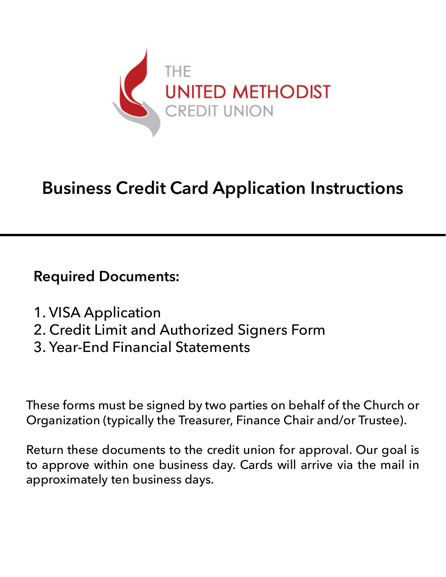

# **Business Credit Card Application Instructions**

**Required Documents:**

- 1. VISA Application
- 2. Credit Limit and Authorized Signers Form
- 3. Year-End Financial Statements

These forms must be signed by two parties on behalf of the Church or Organization (typically the Treasurer, Finance Chair and/or Trustee).

Return these documents to the credit union for approval. Our goal is to approve within one business day. Cards will arrive via the mail in approximately ten business days.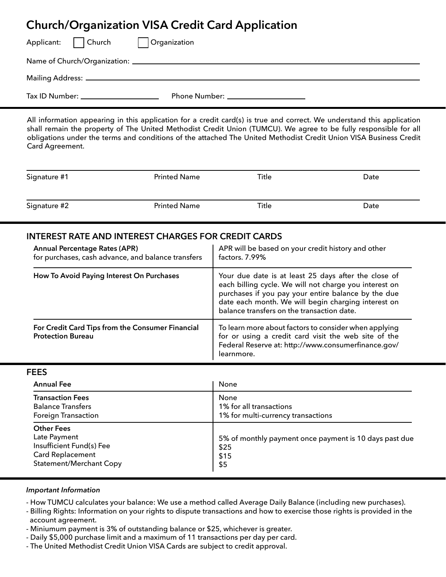## **Church/Organization VISA Credit Card Application**

| Applicant:     | Church                                                                                                                                                                                                                               | Organization |  |  |  |
|----------------|--------------------------------------------------------------------------------------------------------------------------------------------------------------------------------------------------------------------------------------|--------------|--|--|--|
|                |                                                                                                                                                                                                                                      |              |  |  |  |
|                |                                                                                                                                                                                                                                      |              |  |  |  |
| Tax ID Number: | <u> 1980 - John Harry Harry Harry Harry Harry Harry Harry Harry Harry Harry Harry Harry Harry Harry Harry Harry Harry Harry Harry Harry Harry Harry Harry Harry Harry Harry Harry Harry Harry Harry Harry Harry Harry Harry Harr</u> |              |  |  |  |

All information appearing in this application for a credit card(s) is true and correct. We understand this application shall remain the property of The United Methodist Credit Union (TUMCU). We agree to be fully responsible for all obligations under the terms and conditions of the attached The United Methodist Credit Union VISA Business Credit Card Agreement.

| Signature #1 | <b>Printed Name</b> | Title | Date |
|--------------|---------------------|-------|------|
| Signature #2 | <b>Printed Name</b> | Title | Date |

### **INTEREST RATE AND INTEREST CHARGES FOR CREDIT CARDS**

| <b>Annual Percentage Rates (APR)</b><br>for purchases, cash advance, and balance transfers | APR will be based on your credit history and other<br>factors. 7.99%                                                                                                                                                                                                       |
|--------------------------------------------------------------------------------------------|----------------------------------------------------------------------------------------------------------------------------------------------------------------------------------------------------------------------------------------------------------------------------|
| How To Avoid Paying Interest On Purchases                                                  | Your due date is at least 25 days after the close of<br>each billing cycle. We will not charge you interest on<br>purchases if you pay your entire balance by the due<br>date each month. We will begin charging interest on<br>balance transfers on the transaction date. |
| For Credit Card Tips from the Consumer Financial<br><b>Protection Bureau</b>               | To learn more about factors to consider when applying<br>for or using a credit card visit the web site of the<br>Federal Reserve at: http://www.consumerfinance.gov/<br>learnmore.                                                                                         |

#### **FEES**

| <b>Annual Fee</b>                                                                                                          | None                                                                          |
|----------------------------------------------------------------------------------------------------------------------------|-------------------------------------------------------------------------------|
| <b>Transaction Fees</b><br><b>Balance Transfers</b><br><b>Foreign Transaction</b>                                          | None<br>1% for all transactions<br>1% for multi-currency transactions         |
| <b>Other Fees</b><br>Late Payment<br>Insufficient Fund(s) Fee<br><b>Card Replacement</b><br><b>Statement/Merchant Copy</b> | 5% of monthly payment once payment is 10 days past due<br>\$25<br>\$15<br>\$5 |

#### *Important Information*

- How TUMCU calculates your balance: We use a method called Average Daily Balance (including new purchases).
- Billing Rights: Information on your rights to dispute transactions and how to exercise those rights is provided in the account agreement.
- Miniumum payment is 3% of outstanding balance or \$25, whichever is greater.
- Daily \$5,000 purchase limit and a maximum of 11 transactions per day per card.
- The United Methodist Credit Union VISA Cards are subject to credit approval.